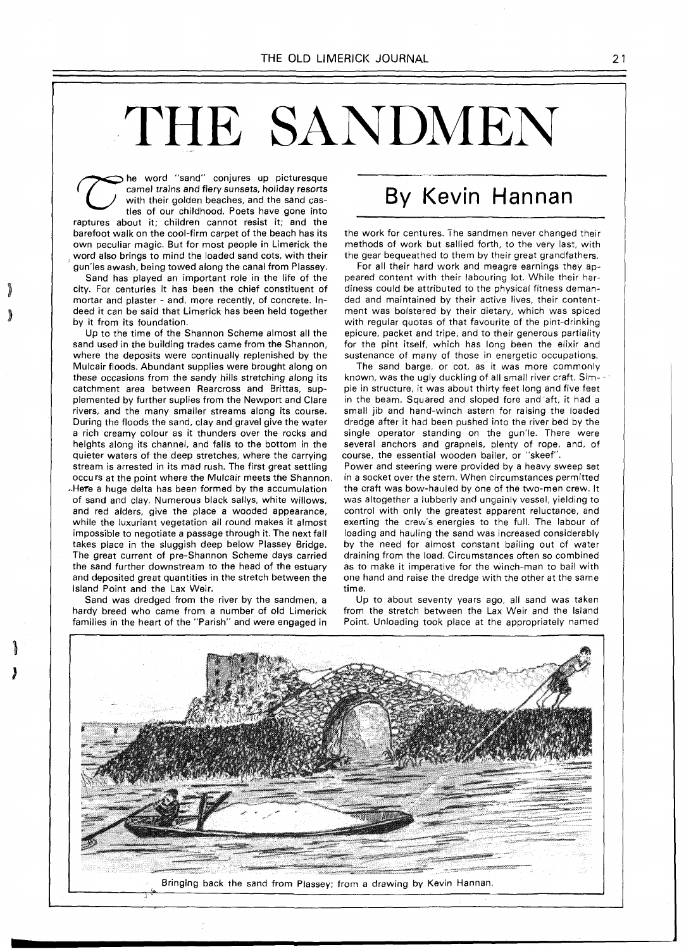## THE SANDMEN

he word "sand" conjures up picturesque camel trains and fiery sunsets, holiday resorts with their golden beaches, and the sand castles of our childhood. Poets have gone into raptures about it; children cannot resist it; and the barefoot walk on the cool-firm carpet of the beach has its own peculiar magic. But for most people in Limerick the word also brings to mind the loaded sand cots, with their gun'les awash, being towed along the canal from Plassey.

Sand has played an important role in the life of the city. For centuries it has been the chief constituent of mortar and plaster - and, more recently, of concrete. Indeed it can be said that Limerick has been held together by it from its foundation.

Up to the time of the Shannon Scheme almost all the sand used in the building trades came from the Shannon, where the deposits were continually replenished by the Mulcair floods. Abundant supplies were brought along on these occasions from the sandy hills stretching along its catchment area between Rearcross and Brittas, supplemented by further suplies from the Newport and Clare rivers, and the many smaller streams along its course. During the floods the sand, clay and gravel give the water a rich creamy colour as it thunders over the rocks and heights along its channel, and falls to the bottom in the quieter waters of the deep stretches, where the carrying stream is arrested in its mad rush. The first great settling occurs at the point where the Mulcair meets the Shannon. ,.Here a huge delta has been formed by the accumulation of sand and clay. Numerous black sallys, white willows, and red alders, give the place a wooded appearance, while the luxuriant vegetation all round makes it almost impossible to negotiate a passage through it. The next fall takes place in the sluggish deep below Plassey Bridge. The great current of pre-Shannon Scheme days carried the sand further downstream to the head of the estuary and deposited great quantities in the stretch between the Island Point and the Lax Weir.

Sand was dredged from the river by the sandmen, a hardy breed who came from a number of old Limerick families in the heart of the "Parish" and were engaged in

## By Kevin Hannan

the work for centures. The sandmen never changed their methods of work but sallied forth, to the very last, with the gear bequeathed to them by their great grandfathers.

For all their hard work and meagre earnings they appeared content with their labouring lot. While their hardiness could be attributed to the physical fitness demanded and maintained by their active lives, their contentment was bolstered by their dietary, which was spiced with regular quotas of that favourite of the pint-drinking epicure, packet and tripe, and to their generous partiality for the pint itself, which has long been the elixir and sustenance of many of those in energetic occupations.

The sand barge, or cot, as it was more commonly known, was the ugly duckling of all small river craft. Simple in structure, it was about thirty feet long and five feet in the beam. Squared and sloped fore and aft, it had a small jib and hand-winch astern for raising the loaded dredge after it had been pushed into the river bed by the single operator standing on the gun'le. There were several anchors and grapnels, plenty of rope, and, of course, the essential wooden bailer, or "skeef".

Power and steering were provided by a heavy sweep set in a socket over the stern. When circumstances permitted the craft was bow-hauled by one of the two-men crew. It was altogether a lubberly and ungainly vessel, yielding to control with only the greatest apparent reluctance, and exerting the crew's energies to the full. The labour of loading and hauling the sand was increased considerably by the need for almost constant bailing out of water draining from the load. Circumstances often so combined as to make it imperative for the winch-man to bail with one hand and raise the dredge with the other at the same time.

Up to about seventy years ago, all sand was taken from the stretch between the Lax Weir and the Island Point. Unloading took place at the appropriately named